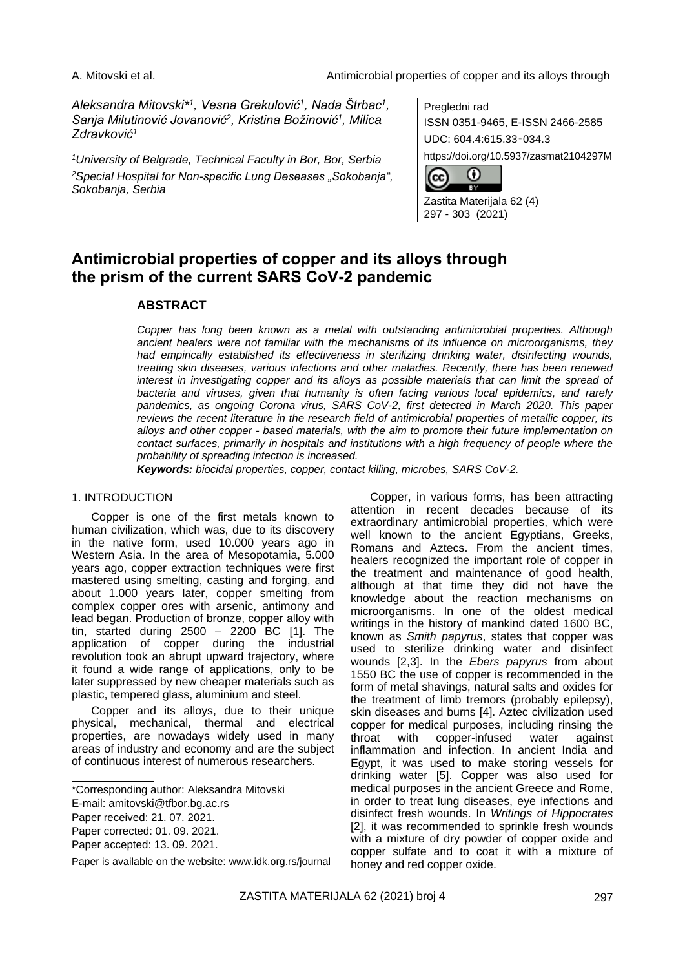*Aleksandra Mitovski\*<sup>1</sup> , Vesna Grekulović<sup>1</sup> , Nada Štrbac<sup>1</sup> , Sanja Milutinović Jovanović<sup>2</sup> , Kristina Božinović<sup>1</sup> , Milica Zdravković<sup>1</sup>*

*<sup>1</sup>University of Belgrade, Technical Faculty in Bor, Bor, Serbia <sup>2</sup>Special Hospital for Non-specific Lung Deseases "Sokobanja", Sokobanja, Serbia*

Pregledni rad ISSN 0351-9465, E-ISSN 2466-2585 UDC: 604.4:615.33‑034.3 https://doi.org/10.5937/zasmat2104297M

റ (cc вY

Zastita Materijala 62 (4) 297 - 303 (2021)

# **Antimicrobial properties of copper and its alloys through the prism of the current SARS CoV-2 pandemic**

# **ABSTRACT**

*Copper has long been known as a metal with outstanding antimicrobial properties. Although ancient healers were not familiar with the mechanisms of its influence on microorganisms, they had empirically established its effectiveness in sterilizing drinking water, disinfecting wounds, treating skin diseases, various infections and other maladies. Recently, there has been renewed interest in investigating copper and its alloys as possible materials that can limit the spread of bacteria and viruses, given that humanity is often facing various local epidemics, and rarely pandemics, as ongoing Corona virus, SARS CoV-2, first detected in March 2020. This paper reviews the recent literature in the research field of antimicrobial properties of metallic copper, its alloys and other copper - based materials, with the aim to promote their future implementation on contact surfaces, primarily in hospitals and institutions with a high frequency of people where the probability of spreading infection is increased.*

*Keywords: biocidal properties, copper, contact killing, microbes, SARS CoV-2.*

### 1. INTRODUCTION

Copper is one of the first metals known to human civilization, which was, due to its discovery in the native form, used 10.000 years ago in Western Asia. In the area of Mesopotamia, 5.000 years ago, copper extraction techniques were first mastered using smelting, casting and forging, and about 1.000 years later, copper smelting from complex copper ores with arsenic, antimony and lead began. Production of bronze, copper alloy with tin, started during  $2500 - 2200$  BC  $[1]$ . The application of copper during the industrial revolution took an abrupt upward trajectory, where it found a wide range of applications, only to be later suppressed by new cheaper materials such as plastic, tempered glass, aluminium and steel.

Copper and its alloys, due to their unique physical, mechanical, thermal and electrical properties, are nowadays widely used in many areas of industry and economy and are the subject of continuous interest of numerous researchers.

Copper, in various forms, has been attracting attention in recent decades because of its extraordinary antimicrobial properties, which were well known to the ancient Egyptians, Greeks, Romans and Aztecs. From the ancient times, healers recognized the important role of copper in the treatment and maintenance of good health, although at that time they did not have the knowledge about the reaction mechanisms on microorganisms. In one of the oldest medical writings in the history of mankind dated 1600 BC, known as *Smith papyrus*, states that copper was used to sterilize drinking water and disinfect wounds [2,3]. In the *Ebers papyrus* from about 1550 BC the use of copper is recommended in the form of metal shavings, natural salts and oxides for the treatment of limb tremors (probably epilepsy), skin diseases and burns [4]. Aztec civilization used copper for medical purposes, including rinsing the throat with copper-infused water against inflammation and infection. In ancient India and Egypt, it was used to make storing vessels for drinking water [5]. Copper was also used for medical purposes in the ancient Greece and Rome, in order to treat lung diseases, eye infections and disinfect fresh wounds. In *Writings of Hippocrates* [2], it was recommended to sprinkle fresh wounds with a mixture of dry powder of copper oxide and copper sulfate and to coat it with a mixture of honey and red copper oxide.

<sup>\*</sup>Corresponding author: Aleksandra Mitovski

E-mail: [amitovski@tfbor.bg.ac.rs](mailto:amitovski@tfbor.bg.ac.rs)

Paper received: 21. 07. 2021.

Paper corrected: 01. 09. 2021.

Paper accepted: 13. 09. 2021.

Paper is available on the website: [www.idk.org.rs/journal](http://www.idk.org.rs/journal)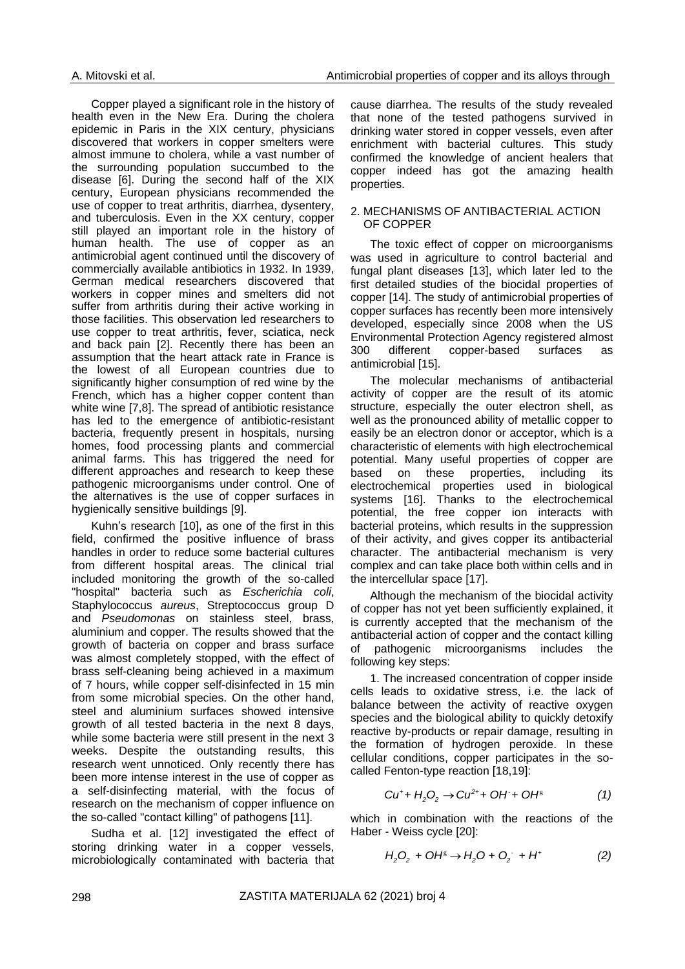Copper played a significant role in the history of health even in the New Era. During the cholera epidemic in Paris in the XIX century, physicians discovered that workers in copper smelters were almost immune to cholera, while a vast number of the surrounding population succumbed to the disease [6]. During the second half of the XIX century, European physicians recommended the use of copper to treat arthritis, diarrhea, dysentery, and tuberculosis. Even in the XX century, copper still played an important role in the history of human health. The use of copper as an antimicrobial agent continued until the discovery of commercially available antibiotics in 1932. In 1939, German medical researchers discovered that workers in copper mines and smelters did not suffer from arthritis during their active working in those facilities. This observation led researchers to use copper to treat arthritis, fever, sciatica, neck and back pain [2]. Recently there has been an assumption that the heart attack rate in France is the lowest of all European countries due to significantly higher consumption of red wine by the French, which has a higher copper content than white wine [7,8]. The spread of antibiotic resistance has led to the emergence of antibiotic-resistant bacteria, frequently present in hospitals, nursing homes, food processing plants and commercial animal farms. This has triggered the need for different approaches and research to keep these pathogenic microorganisms under control. One of the alternatives is the use of copper surfaces in hygienically sensitive buildings [9].

Kuhn's research [10], as one of the first in this field, confirmed the positive influence of brass handles in order to reduce some bacterial cultures from different hospital areas. The clinical trial included monitoring the growth of the so-called "hospital" bacteria such as *Escherichia coli*, Staphylococcus *aureus*, Streptococcus group D and *Pseudomonas* on stainless steel, brass, aluminium and copper. The results showed that the growth of bacteria on copper and brass surface was almost completely stopped, with the effect of brass self-cleaning being achieved in a maximum of 7 hours, while copper self-disinfected in 15 min from some microbial species. On the other hand, steel and aluminium surfaces showed intensive growth of all tested bacteria in the next 8 days, while some bacteria were still present in the next 3 weeks. Despite the outstanding results, this research went unnoticed. Only recently there has been more intense interest in the use of copper as a self-disinfecting material, with the focus of research on the mechanism of copper influence on the so-called "contact killing" of pathogens [11].

Sudha et al. [12] investigated the effect of storing drinking water in a copper vessels, microbiologically contaminated with bacteria that cause diarrhea. The results of the study revealed that none of the tested pathogens survived in drinking water stored in copper vessels, even after enrichment with bacterial cultures. This study confirmed the knowledge of ancient healers that copper indeed has got the amazing health properties.

### 2. MECHANISMS OF ANTIBACTERIAL ACTION OF COPPER

The toxic effect of copper on microorganisms was used in agriculture to control bacterial and fungal plant diseases [13], which later led to the first detailed studies of the biocidal properties of copper [14]. The study of antimicrobial properties of copper surfaces has recently been more intensively developed, especially since 2008 when the US Environmental Protection Agency registered almost 300 different copper-based surfaces as antimicrobial [15].

The molecular mechanisms of antibacterial activity of copper are the result of its atomic structure, especially the outer electron shell, as well as the pronounced ability of metallic copper to easily be an electron donor or acceptor, which is a characteristic of elements with high electrochemical potential. Many useful properties of copper are based on these properties, including its electrochemical properties used in biological systems [16]. Thanks to the electrochemical potential, the free copper ion interacts with bacterial proteins, which results in the suppression of their activity, and gives copper its antibacterial character. The antibacterial mechanism is very complex and can take place both within cells and in the intercellular space [17].

Although the mechanism of the biocidal activity of copper has not yet been sufficiently explained, it is currently accepted that the mechanism of the antibacterial action of copper and the contact killing of pathogenic microorganisms includes the following key steps:

1. The increased concentration of copper inside cells leads to oxidative stress, i.e. the lack of balance between the activity of reactive oxygen species and the biological ability to quickly detoxify reactive by-products or repair damage, resulting in the formation of hydrogen peroxide. In these cellular conditions, copper participates in the socalled Fenton-type reaction [18,19]:

$$
Cu^{+} + H_{2}O_{2} \rightarrow Cu^{2+} + OH^{+} + OH^{s}
$$
 (1)

which in combination with the reactions of the Haber - Weiss cycle [20]:

$$
H_2O_2 + OH^s \to H_2O + O_2^- + H^+ \tag{2}
$$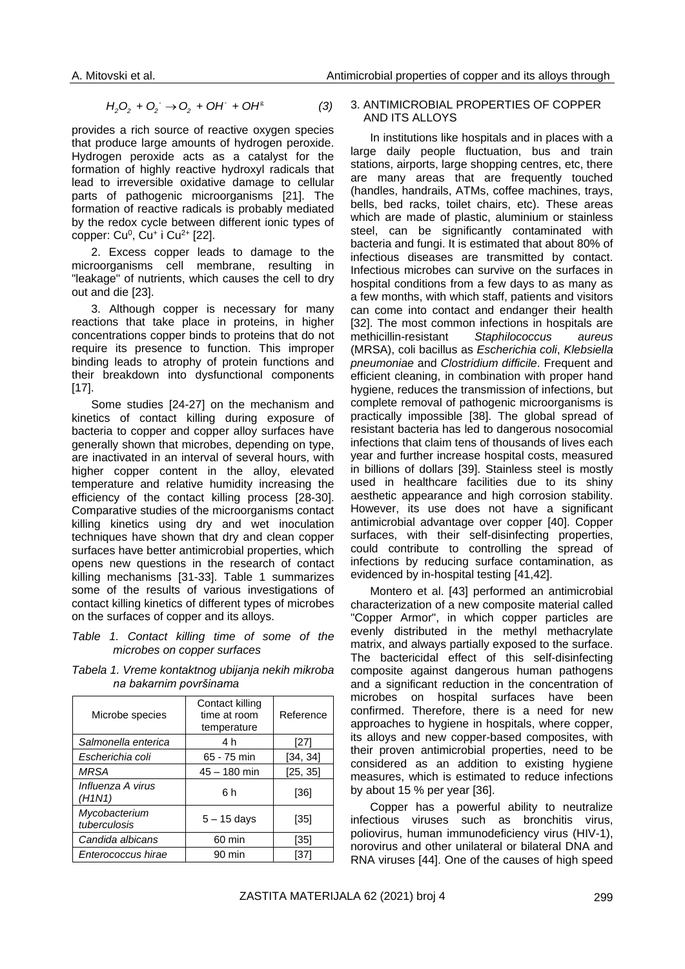$$
H_2O_2 + O_2^- \to O_2 + OH^+ + OH^8 \tag{3}
$$

provides a rich source of reactive oxygen species that produce large amounts of hydrogen peroxide. Hydrogen peroxide acts as a catalyst for the formation of highly reactive hydroxyl radicals that lead to irreversible oxidative damage to cellular parts of pathogenic microorganisms [21]. The formation of reactive radicals is probably mediated by the redox cycle between different ionic types of copper: Cu<sup>0</sup>, Cu<sup>+</sup> i Cu<sup>2+</sup> [22].

2. Excess copper leads to damage to the microorganisms cell membrane, resulting in "leakage" of nutrients, which causes the cell to dry out and die [23].

3. Although copper is necessary for many reactions that take place in proteins, in higher concentrations copper binds to proteins that do not require its presence to function. This improper binding leads to atrophy of protein functions and their breakdown into dysfunctional components [17].

Some studies [24-27] on the mechanism and kinetics of contact killing during exposure of bacteria to copper and copper alloy surfaces have generally shown that microbes, depending on type, are inactivated in an interval of several hours, with higher copper content in the alloy, elevated temperature and relative humidity increasing the efficiency of the contact killing process [28-30]. Comparative studies of the microorganisms contact killing kinetics using dry and wet inoculation techniques have shown that dry and clean copper surfaces have better antimicrobial properties, which opens new questions in the research of contact killing mechanisms [31-33]. Table 1 summarizes some of the results of various investigations of contact killing kinetics of different types of microbes on the surfaces of copper and its alloys.

*Table 1. Contact killing time of some of the microbes on copper surfaces*

*Tabela 1. Vreme kontaktnog ubijanja nekih mikroba na bakarnim površinama*

| Microbe species               | Contact killing<br>time at room<br>temperature | Reference |
|-------------------------------|------------------------------------------------|-----------|
| Salmonella enterica           | 4 h                                            | $[27]$    |
| Escherichia coli              | 65 - 75 min                                    | [34, 34]  |
| <b>MRSA</b>                   | $45 - 180$ min                                 | [25, 35]  |
| Influenza A virus<br>(H1N1)   | 6h                                             | [36]      |
| Mycobacterium<br>tuberculosis | $5 - 15$ days                                  | [35]      |
| Candida albicans              | 60 min                                         | [35]      |
| Enterococcus hirae            | 90 min                                         | [37]      |

### 3. ANTIMICROBIAL PROPERTIES OF COPPER AND ITS ALLOYS

In institutions like hospitals and in places with a large daily people fluctuation, bus and train stations, airports, large shopping centres, etc, there are many areas that are frequently touched (handles, handrails, ATMs, coffee machines, trays, bells, bed racks, toilet chairs, etc). These areas which are made of plastic, aluminium or stainless steel, can be significantly contaminated with bacteria and fungi. It is estimated that about 80% of infectious diseases are transmitted by contact. Infectious microbes can survive on the surfaces in hospital conditions from a few days to as many as a few months, with which staff, patients and visitors can come into contact and endanger their health [32]. The most common infections in hospitals are methicillin-resistant *Staphilococcus aureus* (MRSA), coli bacillus as *Escherichia coli*, *Klebsiella pneumoniae* and *Clostridium difficile*. Frequent and efficient cleaning, in combination with proper hand hygiene, reduces the transmission of infections, but complete removal of pathogenic microorganisms is practically impossible [38]. The global spread of resistant bacteria has led to dangerous nosocomial infections that claim tens of thousands of lives each year and further increase hospital costs, measured in billions of dollars [39]. Stainless steel is mostly used in healthcare facilities due to its shiny aesthetic appearance and high corrosion stability. However, its use does not have a significant antimicrobial advantage over copper [40]. Copper surfaces, with their self-disinfecting properties, could contribute to controlling the spread of infections by reducing surface contamination, as evidenced by in-hospital testing [41,42].

Montero et al. [43] performed an antimicrobial characterization of a new composite material called "Copper Armor", in which copper particles are evenly distributed in the methyl methacrylate matrix, and always partially exposed to the surface. The bactericidal effect of this self-disinfecting composite against dangerous human pathogens and a significant reduction in the concentration of microbes on hospital surfaces have been confirmed. Therefore, there is a need for new approaches to hygiene in hospitals, where copper, its alloys and new copper-based composites, with their proven antimicrobial properties, need to be considered as an addition to existing hygiene measures, which is estimated to reduce infections by about 15 % per year [36].

Copper has a powerful ability to neutralize infectious viruses such as bronchitis virus, poliovirus, human immunodeficiency virus (HIV-1), norovirus and other unilateral or bilateral DNA and RNA viruses [44]. One of the causes of high speed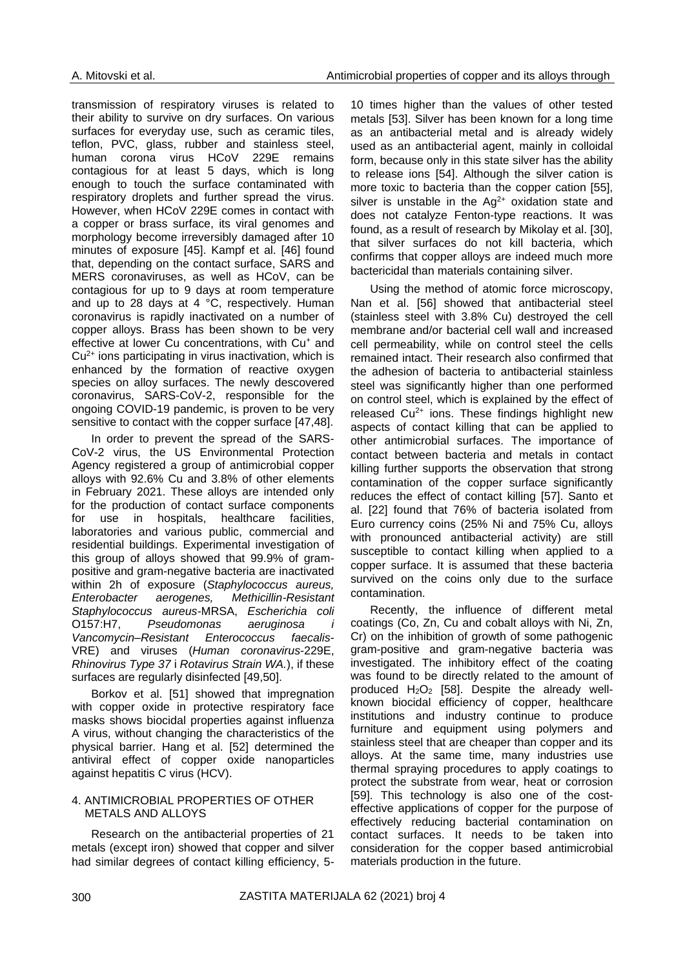transmission of respiratory viruses is related to their ability to survive on dry surfaces. On various surfaces for everyday use, such as ceramic tiles, teflon, PVC, glass, rubber and stainless steel, human corona virus HCoV 229E remains contagious for at least 5 days, which is long enough to touch the surface contaminated with respiratory droplets and further spread the virus. However, when HCoV 229E comes in contact with a copper or brass surface, its viral genomes and morphology become irreversibly damaged after 10 minutes of exposure [45]. Kampf et al. [46] found that, depending on the contact surface, SARS and MERS coronaviruses, as well as HCoV, can be contagious for up to 9 days at room temperature and up to 28 days at 4 °C, respectively. Human coronavirus is rapidly inactivated on a number of copper alloys. Brass has been shown to be very effective at lower Cu concentrations, with Cu<sup>+</sup> and  $Cu<sup>2+</sup>$  ions participating in virus inactivation, which is enhanced by the formation of reactive oxygen species on alloy surfaces. The newly descovered coronavirus, SARS-CoV-2, responsible for the ongoing COVID-19 pandemic, is proven to be very sensitive to contact with the copper surface [47,48].

In order to prevent the spread of the SARS-CoV-2 virus, the US Environmental Protection Agency registered a group of antimicrobial copper alloys with 92.6% Cu and 3.8% of other elements in February 2021. These alloys are intended only for the production of contact surface components for use in hospitals, healthcare facilities, laboratories and various public, commercial and residential buildings. Experimental investigation of this group of alloys showed that 99.9% of grampositive and gram-negative bacteria are inactivated within 2h of exposure (*Staphylococcus aureus, Enterobacter aerogenes, Methicillin-Resistant Staphylococcus aureus*-MRSA, *Escherichia coli* O157:H7, *Pseudomonas aeruginosa i Vancomycin–Resistant Enterococcus faecalis*-VRE) and viruses (*Human coronavirus*-229E, *Rhinovirus Type 37* i *Rotavirus Strain WA.*), if these surfaces are regularly disinfected [49,50].

Borkov et al. [51] showed that impregnation with copper oxide in protective respiratory face masks shows biocidal properties against influenza A virus, without changing the characteristics of the physical barrier. Hang et al. [52] determined the antiviral effect of copper oxide nanoparticles against hepatitis C virus (HCV).

# 4. ANTIMICROBIAL PROPERTIES OF OTHER METALS AND ALLOYS

Research on the antibacterial properties of 21 metals (except iron) showed that copper and silver had similar degrees of contact killing efficiency, 5-

10 times higher than the values of other tested metals [53]. Silver has been known for a long time as an antibacterial metal and is already widely used as an antibacterial agent, mainly in colloidal form, because only in this state silver has the ability to release ions [54]. Although the silver cation is more toxic to bacteria than the copper cation [55], silver is unstable in the  $Ag^{2+}$  oxidation state and does not catalyze Fenton-type reactions. It was found, as a result of research by Mikolay et al. [30], that silver surfaces do not kill bacteria, which confirms that copper alloys are indeed much more bactericidal than materials containing silver.

Using the method of atomic force microscopy, Nan et al. [56] showed that antibacterial steel (stainless steel with 3.8% Cu) destroyed the cell membrane and/or bacterial cell wall and increased cell permeability, while on control steel the cells remained intact. Their research also confirmed that the adhesion of bacteria to antibacterial stainless steel was significantly higher than one performed on control steel, which is explained by the effect of released  $Cu<sup>2+</sup>$  ions. These findings highlight new aspects of contact killing that can be applied to other antimicrobial surfaces. The importance of contact between bacteria and metals in contact killing further supports the observation that strong contamination of the copper surface significantly reduces the effect of contact killing [57]. Santo et al. [22] found that 76% of bacteria isolated from Euro currency coins (25% Ni and 75% Cu, alloys with pronounced antibacterial activity) are still susceptible to contact killing when applied to a copper surface. It is assumed that these bacteria survived on the coins only due to the surface contamination.

Recently, the influence of different metal coatings (Co, Zn, Cu and cobalt alloys with Ni, Zn, Cr) on the inhibition of growth of some pathogenic gram-positive and gram-negative bacteria was investigated. The inhibitory effect of the coating was found to be directly related to the amount of produced  $H_2O_2$  [58]. Despite the already wellknown biocidal efficiency of copper, healthcare institutions and industry continue to produce furniture and equipment using polymers and stainless steel that are cheaper than copper and its alloys. At the same time, many industries use thermal spraying procedures to apply coatings to protect the substrate from wear, heat or corrosion [59]. This technology is also one of the costeffective applications of copper for the purpose of effectively reducing bacterial contamination on contact surfaces. It needs to be taken into consideration for the copper based antimicrobial materials production in the future.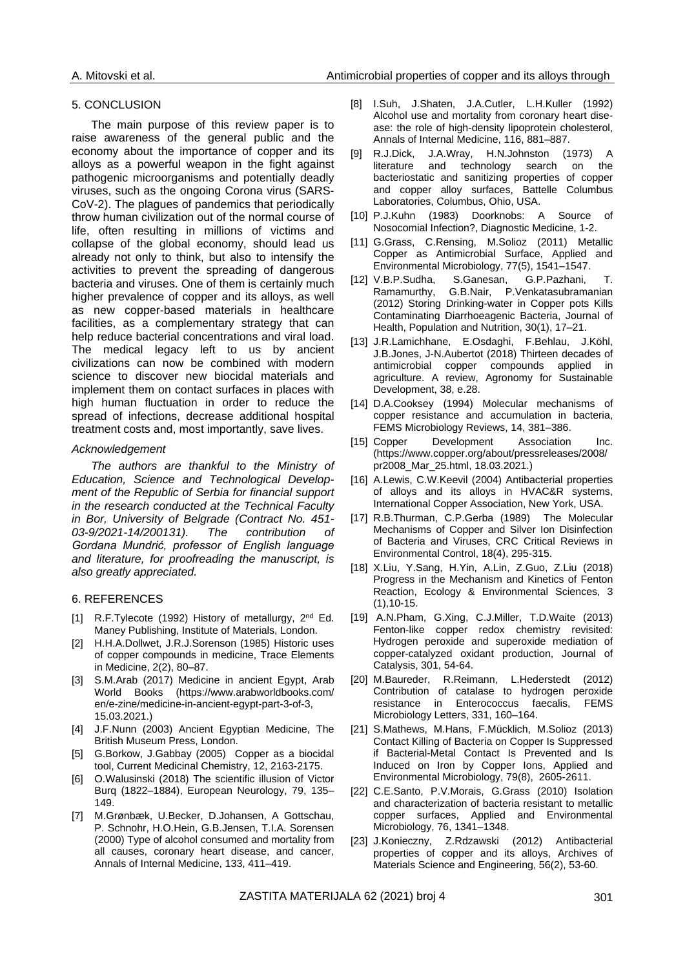#### 5. CONCLUSION

The main purpose of this review paper is to raise awareness of the general public and the economy about the importance of copper and its alloys as a powerful weapon in the fight against pathogenic microorganisms and potentially deadly viruses, such as the ongoing Corona virus (SARS-CoV-2). The plagues of pandemics that periodically throw human civilization out of the normal course of life, often resulting in millions of victims and collapse of the global economy, should lead us already not only to think, but also to intensify the activities to prevent the spreading of dangerous bacteria and viruses. One of them is certainly much higher prevalence of copper and its alloys, as well as new copper-based materials in healthcare facilities, as a complementary strategy that can help reduce bacterial concentrations and viral load. The medical legacy left to us by ancient civilizations can now be combined with modern science to discover new biocidal materials and implement them on contact surfaces in places with high human fluctuation in order to reduce the spread of infections, decrease additional hospital treatment costs and, most importantly, save lives.

### *Acknowledgement*

*The authors are thankful to the Ministry of Education, Science and Technological Development of the Republic of Serbia for financial support in the research conducted at the Technical Faculty in Bor, University of Belgrade (Contract No. 451- 03-9/2021-14/200131). The contribution of Gordana Mundrić, professor of English language and literature, for proofreading the manuscript, is also greatly appreciated.*

#### 6. REFERENCES

- [1] R.F.Tylecote (1992) History of metallurgy, 2<sup>nd</sup> Ed. Maney Publishing, Institute of Materials, London.
- [2] H.H.A.Dollwet, J.R.J.Sorenson (1985) Historic uses of copper compounds in medicine, Trace Elements in Medicine, 2(2), 80–87.
- [3] S.M.Arab (2017) Medicine in ancient Egypt, Arab World Books [\(https://www.arabworldbooks.com/](https://www.arabworldbooks.com/%20en/e-zine/medicine-in-ancient-egypt-part-3-of-3)  [en/e-zine/medicine-in-ancient-egypt-part-3-of-3,](https://www.arabworldbooks.com/%20en/e-zine/medicine-in-ancient-egypt-part-3-of-3) 15.03.2021.)
- [4] J.F.Nunn (2003) Ancient Egyptian Medicine, The British Museum Press, London.
- [5] G.Borkow, J.Gabbay (2005) Copper as a biocidal tool, Current Medicinal Chemistry, 12, 2163-2175.
- [6] O.Walusinski (2018) The scientific illusion of Victor Burq (1822–1884), European Neurology, 79, 135– 149.
- [7] M.Grønbæk, U.Becker, D.Johansen, A Gottschau, P. Schnohr, H.O.Hein, G.B.Jensen, T.I.A. Sorensen (2000) Type of alcohol consumed and mortality from all causes, coronary heart disease, and cancer, Annals of Internal Medicine, 133, 411–419.
- [8] I.Suh, J.Shaten, J.A.Cutler, L.H.Kuller (1992) Alcohol use and mortality from coronary heart disease: the role of high-density lipoprotein cholesterol, Annals of Internal Medicine, 116, 881–887.
- [9] R.J.Dick, J.A.Wray, H.N.Johnston (1973) A literature and technology search on the bacteriostatic and sanitizing properties of copper and copper alloy surfaces, Battelle Columbus Laboratories, Columbus, Ohio, USA.
- [10] P.J.Kuhn (1983) Doorknobs: A Source of Nosocomial Infection?, Diagnostic Medicine, 1-2.
- [11] G.Grass, C.Rensing, M.Solioz (2011) Metallic Copper as Antimicrobial Surface, Applied and Environmental Microbiology, 77(5), 1541–1547.
- [12] V.B.P.Sudha, S.Ganesan, G.P.Pazhani, T. Ramamurthy, G.B.Nair, P.Venkatasubramanian (2012) Storing Drinking-water in Copper pots Kills Contaminating Diarrhoeagenic Bacteria, Journal of Health, Population and Nutrition, 30(1), 17–21.
- [13] J.R.Lamichhane, E.Osdaghi, F.Behlau, J.Köhl, J.B.Jones, J-N.Aubertot (2018) Thirteen decades of<br>antimicrobial copper compounds applied in compounds applied in agriculture. A review, Agronomy for Sustainable Development, 38, e.28.
- [14] D.A.Cooksey (1994) Molecular mechanisms of copper resistance and accumulation in bacteria, FEMS Microbiology Reviews, 14, 381–386.
- [15] Copper Development Association Inc. [\(https://www.copper.org/about/pressreleases/2008/](https://www.copper.org/about/pressreleases/2008/pr2008_Mar_25.html) [pr2008\\_Mar\\_25.html,](https://www.copper.org/about/pressreleases/2008/pr2008_Mar_25.html) 18.03.2021.)
- [16] A.Lewis, C.W.Keevil (2004) Antibacterial properties of alloys and its alloys in HVAC&R systems, International Copper Association, New York, USA.
- [17] R.B.Thurman, C.P.Gerba (1989) The Molecular Mechanisms of Copper and Silver Ion Disinfection of Bacteria and Viruses, CRC Critical Reviews in Environmental Control, 18(4), 295-315.
- [18] X.Liu, Y.Sang, H.Yin, A.Lin, Z.Guo, Z.Liu (2018) Progress in the Mechanism and Kinetics of Fenton Reaction, Ecology & Environmental Sciences, 3 (1),10-15.
- [19] A.N.Pham, G.Xing, C.J.Miller, T.D.Waite (2013) Fenton-like copper redox chemistry revisited: Hydrogen peroxide and superoxide mediation of copper-catalyzed oxidant production, Journal of Catalysis, 301, 54-64.
- [20] M.Baureder, R.Reimann, L.Hederstedt (2012) Contribution of catalase to hydrogen peroxide resistance in Enterococcus faecalis, FEMS Microbiology Letters, 331, 160–164.
- [21] S.Mathews, M.Hans, F.Mücklich, M.Solioz (2013) Contact Killing of Bacteria on Copper Is Suppressed if Bacterial-Metal Contact Is Prevented and Is Induced on Iron by Copper Ions, Applied and Environmental Microbiology, 79(8), 2605-2611.
- [22] C.E.Santo, P.V.Morais, G.Grass (2010) Isolation and characterization of bacteria resistant to metallic copper surfaces, Applied and Environmental Microbiology, 76, 1341–1348.
- [23] J.Konieczny, Z.Rdzawski (2012) Antibacterial properties of copper and its alloys, Archives of Materials Science and Engineering, 56(2), 53-60.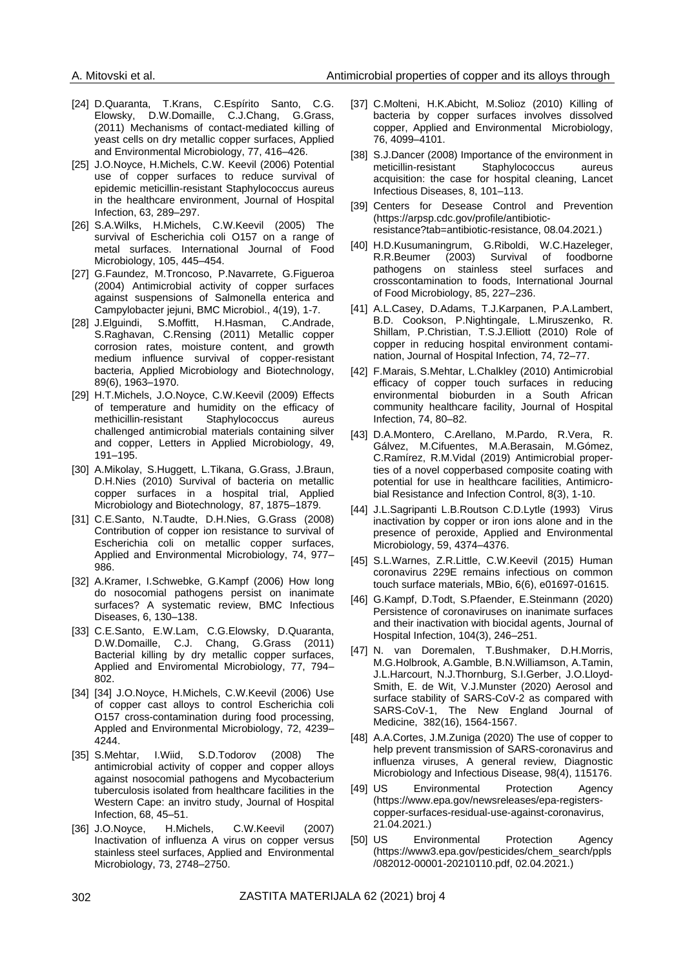- [24] D.Quaranta, T.Krans, C.Espírito Santo, C.G. Elowsky, D.W.Domaille, C.J.Chang, G.Grass, (2011) Mechanisms of contact-mediated killing of yeast cells on dry metallic copper surfaces, Applied and Environmental Microbiology, 77, 416–426.
- [25] J.O.Noyce, H.Michels, C.W. Keevil (2006) Potential use of copper surfaces to reduce survival of epidemic meticillin-resistant Staphylococcus aureus in the healthcare environment, Journal of Hospital Infection, 63, 289–297.
- [26] S.A.Wilks, H.Michels, C.W.Keevil (2005) The survival of Escherichia coli O157 on a range of metal surfaces. International Journal of Food Microbiology, 105, 445–454.
- [27] G.Faundez, M.Troncoso, P.Navarrete, G.Figueroa (2004) Antimicrobial activity of copper surfaces against suspensions of Salmonella enterica and Campylobacter jejuni, BMC Microbiol., 4(19), 1-7.
- [28] J.Elguindi, S.Moffitt, H.Hasman, C.Andrade, S.Raghavan, C.Rensing (2011) Metallic copper corrosion rates, moisture content, and growth medium influence survival of copper-resistant bacteria, Applied Microbiology and Biotechnology, 89(6), 1963–1970.
- [29] H.T.Michels, J.O.Noyce, C.W.Keevil (2009) Effects of temperature and humidity on the efficacy of methicillin-resistant Staphylococcus aureus challenged antimicrobial materials containing silver and copper, Letters in Applied Microbiology, 49, 191–195.
- [30] A.Mikolay, S.Huggett, L.Tikana, G.Grass, J.Braun, D.H.Nies (2010) Survival of bacteria on metallic copper surfaces in a hospital trial, Applied Microbiology and Biotechnology, 87, 1875–1879.
- [31] C.E.Santo, N.Taudte, D.H.Nies, G.Grass (2008) Contribution of copper ion resistance to survival of Escherichia coli on metallic copper surfaces, Applied and Environmental Microbiology, 74, 977– 986.
- [32] A.Kramer, I.Schwebke, G.Kampf (2006) How long do nosocomial pathogens persist on inanimate surfaces? A systematic review, BMC Infectious Diseases, 6, 130–138.
- [33] C.E.Santo, E.W.Lam, C.G.Elowsky, D.Quaranta, D.W.Domaille, C.J. Chang, G.Grass (2011) Bacterial killing by dry metallic copper surfaces, Applied and Enviromental Microbiology, 77, 794– 802.
- [34] [34] J.O.Noyce, H.Michels, C.W.Keevil (2006) Use of copper cast alloys to control Escherichia coli O157 cross-contamination during food processing, Appled and Environmental Microbiology, 72, 4239– 4244.
- [35] S.Mehtar, I.Wiid, S.D.Todorov (2008) The antimicrobial activity of copper and copper alloys against nosocomial pathogens and Mycobacterium tuberculosis isolated from healthcare facilities in the Western Cape: an invitro study, Journal of Hospital Infection, 68, 45–51.
- [36] J.O.Noyce, H.Michels, C.W.Keevil (2007) Inactivation of influenza A virus on copper versus stainless steel surfaces, Applied and Environmental Microbiology, 73, 2748–2750.
- [37] C.Molteni, H.K.Abicht, M.Solioz (2010) Killing of bacteria by copper surfaces involves dissolved copper, Applied and Environmental Microbiology, 76, 4099–4101.
- [38] S.J.Dancer (2008) Importance of the environment in meticillin-resistant Staphylococcus aureus acquisition: the case for hospital cleaning, Lancet Infectious Diseases, 8, 101–113.
- [39] Centers for Desease Control and Prevention [\(https://arpsp.cdc.gov/profile/antibiotic](https://arpsp.cdc.gov/profile/antibiotic-resistance?tab=antibiotic-resistance)[resistance?tab=antibiotic-resistance,](https://arpsp.cdc.gov/profile/antibiotic-resistance?tab=antibiotic-resistance) 08.04.2021.)
- [40] H.D.Kusumaningrum, G.Riboldi, W.C.Hazeleger, R.R.Beumer (2003) Survival of foodborne pathogens on stainless steel surfaces and crosscontamination to foods, International Journal of Food Microbiology, 85, 227–236.
- [41] A.L.Casey, D.Adams, T.J.Karpanen, P.A.Lambert, B.D. Cookson, P.Nightingale, L.Miruszenko, R. Shillam, P.Christian, T.S.J.Elliott (2010) Role of copper in reducing hospital environment contamination, Journal of Hospital Infection, 74, 72–77.
- [42] F.Marais, S.Mehtar, L.Chalkley (2010) Antimicrobial efficacy of copper touch surfaces in reducing environmental bioburden in a South African community healthcare facility, Journal of Hospital Infection, 74, 80–82.
- [43] D.A.Montero, C.Arellano, M.Pardo, R.Vera, R. Gálvez, M.Cifuentes, M.A.Berasain, M.Gómez, C.Ramírez, R.M.Vidal (2019) Antimicrobial properties of a novel copperbased composite coating with potential for use in healthcare facilities, Antimicrobial Resistance and Infection Control, 8(3), 1-10.
- [44] J.L.Sagripanti L.B.Routson C.D.Lytle (1993) Virus inactivation by copper or iron ions alone and in the presence of peroxide, Applied and Environmental Microbiology, 59, 4374–4376.
- [45] S.L.Warnes, Z.R.Little, C.W.Keevil (2015) Human coronavirus 229E remains infectious on common touch surface materials, MBio, 6(6), e01697-01615.
- [46] G.Kampf, D.Todt, S.Pfaender, E.Steinmann (2020) Persistence of coronaviruses on inanimate surfaces and their inactivation with biocidal agents, Journal of Hospital Infection, 104(3), 246–251.
- [47] N. van Doremalen, T.Bushmaker, D.H.Morris, M.G.Holbrook, A.Gamble, B.N.Williamson, A.Tamin, J.L.Harcourt, N.J.Thornburg, S.I.Gerber, J.O.Lloyd-Smith, E. de Wit, V.J.Munster (2020) Aerosol and surface stability of SARS-CoV-2 as compared with SARS-CoV-1, The New England Journal of Medicine, 382(16), 1564-1567.
- [48] A.A.Cortes, J.M.Zuniga (2020) The use of copper to help prevent transmission of SARS-coronavirus and influenza viruses, A general review, Diagnostic Microbiology and Infectious Disease, 98(4), 115176.
- [49] US Environmental Protection Agency [\(https://www.epa.gov/newsreleases/epa-registers](https://www.epa.gov/newsreleases/epa-registers-copper-surfaces-residual-use-against-coronavirus)[copper-surfaces-residual-use-against-coronavirus,](https://www.epa.gov/newsreleases/epa-registers-copper-surfaces-residual-use-against-coronavirus) 21.04.2021.)
- [50] US Environmental Protection Agency [\(https://www3.epa.gov/pesticides/chem\\_search/ppls](https://www3.epa.gov/pesticides/chem_search/ppls/082012-00001-20210110.pdf) [/082012-00001-20210110.pdf,](https://www3.epa.gov/pesticides/chem_search/ppls/082012-00001-20210110.pdf) 02.04.2021.)